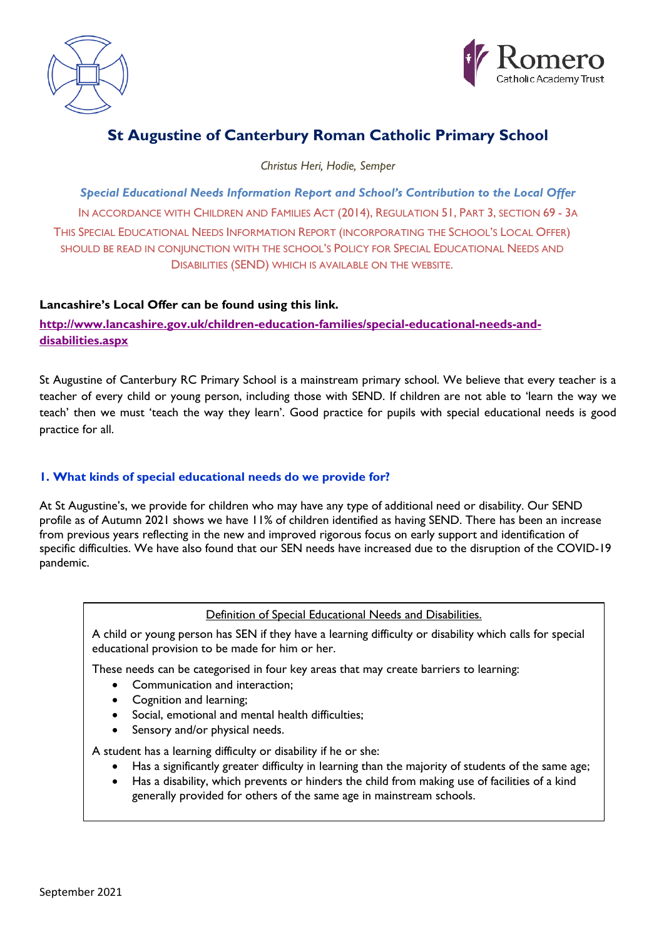



# **St Augustine of Canterbury Roman Catholic Primary School**

*Christus Heri, Hodie, Semper*

*Special Educational Needs Information Report and School's Contribution to the Local Offer* IN ACCORDANCE WITH CHILDREN AND FAMILIES ACT (2014), REGULATION 51, PART 3, SECTION 69 - 3A THIS SPECIAL EDUCATIONAL NEEDS INFORMATION REPORT (INCORPORATING THE SCHOOL'S LOCAL OFFER) SHOULD BE READ IN CONJUNCTION WITH THE SCHOOL'S POLICY FOR SPECIAL EDUCATIONAL NEEDS AND DISABILITIES (SEND) WHICH IS AVAILABLE ON THE WEBSITE.

## **Lancashire's Local Offer can be found using this link.**

**[http://www.lancashire.gov.uk/children-education-families/special-educational-needs-and](http://www.lancashire.gov.uk/children-education-families/special-educational-needs-and-disabilities.aspx)[disabilities.aspx](http://www.lancashire.gov.uk/children-education-families/special-educational-needs-and-disabilities.aspx)**

St Augustine of Canterbury RC Primary School is a mainstream primary school. We believe that every teacher is a teacher of every child or young person, including those with SEND. If children are not able to 'learn the way we teach' then we must 'teach the way they learn'. Good practice for pupils with special educational needs is good practice for all.

## **1. What kinds of special educational needs do we provide for?**

At St Augustine's, we provide for children who may have any type of additional need or disability. Our SEND profile as of Autumn 2021 shows we have 11% of children identified as having SEND. There has been an increase from previous years reflecting in the new and improved rigorous focus on early support and identification of specific difficulties. We have also found that our SEN needs have increased due to the disruption of the COVID-19 pandemic.

## Definition of Special Educational Needs and Disabilities.

A child or young person has SEN if they have a learning difficulty or disability which calls for special educational provision to be made for him or her.

These needs can be categorised in four key areas that may create barriers to learning:

- Communication and interaction;
- Cognition and learning;
- Social, emotional and mental health difficulties;
- Sensory and/or physical needs.

A student has a learning difficulty or disability if he or she:

- Has a significantly greater difficulty in learning than the majority of students of the same age;
- Has a disability, which prevents or hinders the child from making use of facilities of a kind generally provided for others of the same age in mainstream schools.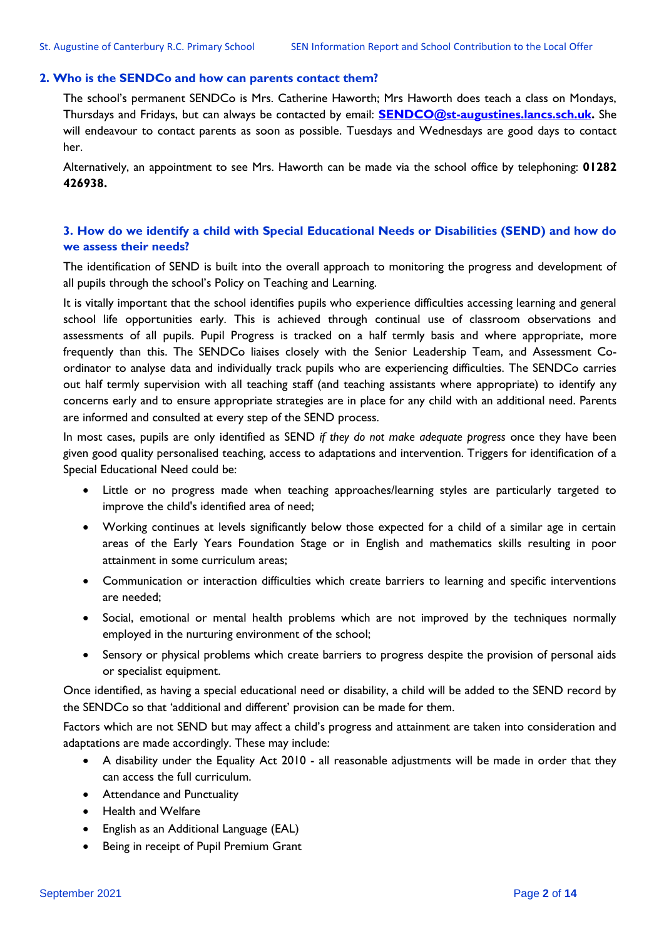#### **2. Who is the SENDCo and how can parents contact them?**

The school's permanent SENDCo is Mrs. Catherine Haworth; Mrs Haworth does teach a class on Mondays, Thursdays and Fridays, but can always be contacted by email: **[SENDCO@st-augustines.lancs.sch.uk.](mailto:SENDCO@st-augustines.lancs.sch.uk)** She will endeavour to contact parents as soon as possible. Tuesdays and Wednesdays are good days to contact her.

Alternatively, an appointment to see Mrs. Haworth can be made via the school office by telephoning: **01282 426938.**

### **3. How do we identify a child with Special Educational Needs or Disabilities (SEND) and how do we assess their needs?**

The identification of SEND is built into the overall approach to monitoring the progress and development of all pupils through the school's Policy on Teaching and Learning.

It is vitally important that the school identifies pupils who experience difficulties accessing learning and general school life opportunities early. This is achieved through continual use of classroom observations and assessments of all pupils. Pupil Progress is tracked on a half termly basis and where appropriate, more frequently than this. The SENDCo liaises closely with the Senior Leadership Team, and Assessment Coordinator to analyse data and individually track pupils who are experiencing difficulties. The SENDCo carries out half termly supervision with all teaching staff (and teaching assistants where appropriate) to identify any concerns early and to ensure appropriate strategies are in place for any child with an additional need. Parents are informed and consulted at every step of the SEND process.

In most cases, pupils are only identified as SEND *if they do not make adequate progress* once they have been given good quality personalised teaching, access to adaptations and intervention. Triggers for identification of a Special Educational Need could be:

- Little or no progress made when teaching approaches/learning styles are particularly targeted to improve the child's identified area of need;
- Working continues at levels significantly below those expected for a child of a similar age in certain areas of the Early Years Foundation Stage or in English and mathematics skills resulting in poor attainment in some curriculum areas;
- Communication or interaction difficulties which create barriers to learning and specific interventions are needed;
- Social, emotional or mental health problems which are not improved by the techniques normally employed in the nurturing environment of the school;
- Sensory or physical problems which create barriers to progress despite the provision of personal aids or specialist equipment.

Once identified, as having a special educational need or disability, a child will be added to the SEND record by the SENDCo so that 'additional and different' provision can be made for them.

Factors which are not SEND but may affect a child's progress and attainment are taken into consideration and adaptations are made accordingly. These may include:

- A disability under the Equality Act 2010 all reasonable adjustments will be made in order that they can access the full curriculum.
- Attendance and Punctuality
- Health and Welfare
- English as an Additional Language (EAL)
- Being in receipt of Pupil Premium Grant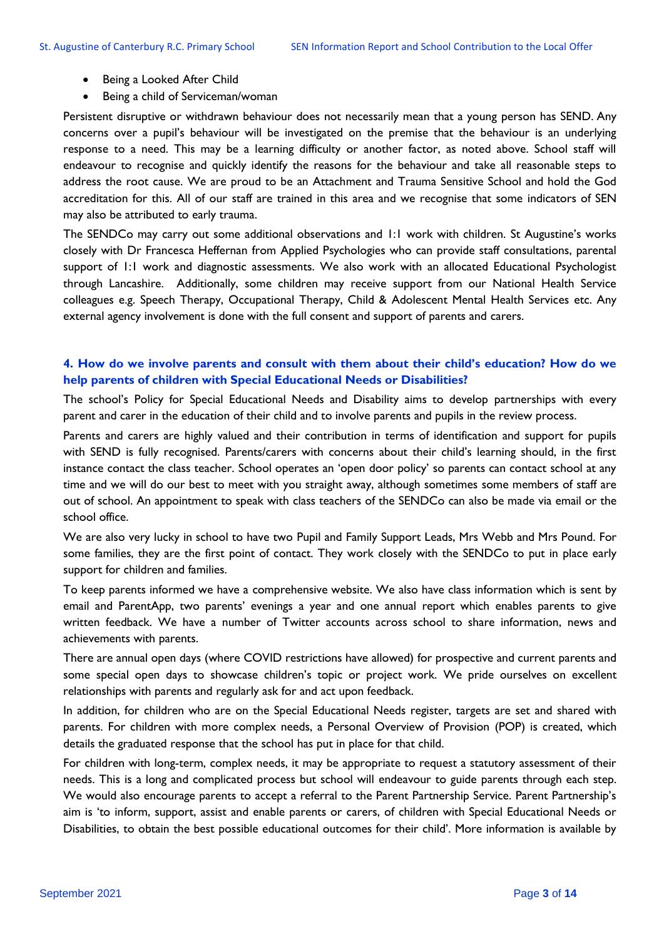- Being a Looked After Child
- Being a child of Serviceman/woman

Persistent disruptive or withdrawn behaviour does not necessarily mean that a young person has SEND. Any concerns over a pupil's behaviour will be investigated on the premise that the behaviour is an underlying response to a need. This may be a learning difficulty or another factor, as noted above. School staff will endeavour to recognise and quickly identify the reasons for the behaviour and take all reasonable steps to address the root cause. We are proud to be an Attachment and Trauma Sensitive School and hold the God accreditation for this. All of our staff are trained in this area and we recognise that some indicators of SEN may also be attributed to early trauma.

The SENDCo may carry out some additional observations and 1:1 work with children. St Augustine's works closely with Dr Francesca Heffernan from Applied Psychologies who can provide staff consultations, parental support of 1:1 work and diagnostic assessments. We also work with an allocated Educational Psychologist through Lancashire. Additionally, some children may receive support from our National Health Service colleagues e.g. Speech Therapy, Occupational Therapy, Child & Adolescent Mental Health Services etc. Any external agency involvement is done with the full consent and support of parents and carers.

## **4. How do we involve parents and consult with them about their child's education? How do we help parents of children with Special Educational Needs or Disabilities?**

The school's Policy for Special Educational Needs and Disability aims to develop partnerships with every parent and carer in the education of their child and to involve parents and pupils in the review process.

Parents and carers are highly valued and their contribution in terms of identification and support for pupils with SEND is fully recognised. Parents/carers with concerns about their child's learning should, in the first instance contact the class teacher. School operates an 'open door policy' so parents can contact school at any time and we will do our best to meet with you straight away, although sometimes some members of staff are out of school. An appointment to speak with class teachers of the SENDCo can also be made via email or the school office.

We are also very lucky in school to have two Pupil and Family Support Leads, Mrs Webb and Mrs Pound. For some families, they are the first point of contact. They work closely with the SENDCo to put in place early support for children and families.

To keep parents informed we have a comprehensive website. We also have class information which is sent by email and ParentApp, two parents' evenings a year and one annual report which enables parents to give written feedback. We have a number of Twitter accounts across school to share information, news and achievements with parents.

There are annual open days (where COVID restrictions have allowed) for prospective and current parents and some special open days to showcase children's topic or project work. We pride ourselves on excellent relationships with parents and regularly ask for and act upon feedback.

In addition, for children who are on the Special Educational Needs register, targets are set and shared with parents. For children with more complex needs, a Personal Overview of Provision (POP) is created, which details the graduated response that the school has put in place for that child.

For children with long-term, complex needs, it may be appropriate to request a statutory assessment of their needs. This is a long and complicated process but school will endeavour to guide parents through each step. We would also encourage parents to accept a referral to the Parent Partnership Service. Parent Partnership's aim is 'to inform, support, assist and enable parents or carers, of children with Special Educational Needs or Disabilities, to obtain the best possible educational outcomes for their child'. More information is available by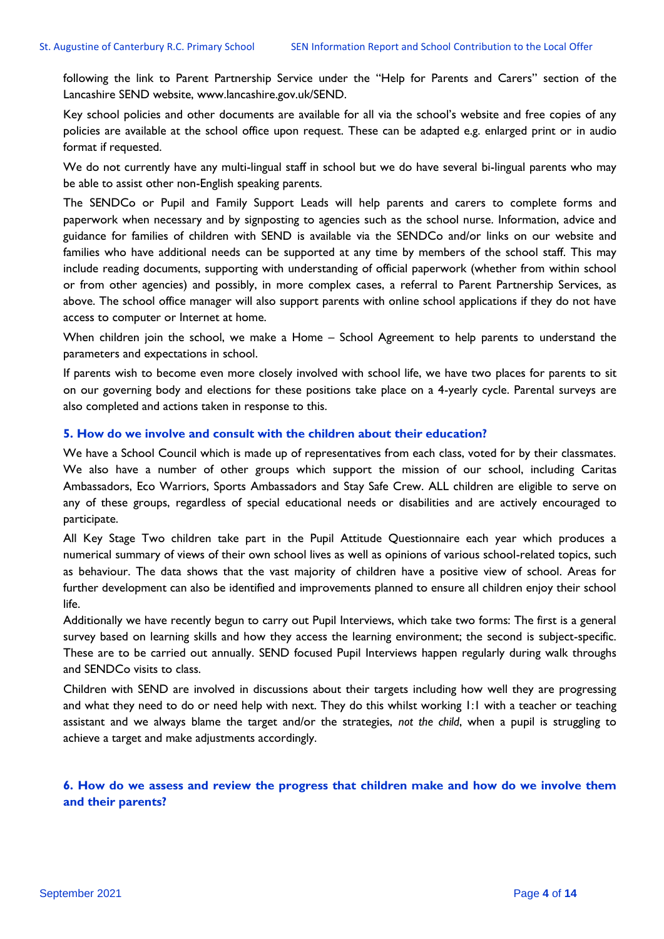following the link to Parent Partnership Service under the "Help for Parents and Carers" section of the Lancashire SEND website, [www.lancashire.gov.uk/SEND.](http://www.lancashire.gov.uk/SEND)

Key school policies and other documents are available for all via the school's website and free copies of any policies are available at the school office upon request. These can be adapted e.g. enlarged print or in audio format if requested.

We do not currently have any multi-lingual staff in school but we do have several bi-lingual parents who may be able to assist other non-English speaking parents.

The SENDCo or Pupil and Family Support Leads will help parents and carers to complete forms and paperwork when necessary and by signposting to agencies such as the school nurse. Information, advice and guidance for families of children with SEND is available via the SENDCo and/or links on our website and families who have additional needs can be supported at any time by members of the school staff. This may include reading documents, supporting with understanding of official paperwork (whether from within school or from other agencies) and possibly, in more complex cases, a referral to Parent Partnership Services, as above. The school office manager will also support parents with online school applications if they do not have access to computer or Internet at home.

When children join the school, we make a Home – School Agreement to help parents to understand the parameters and expectations in school.

If parents wish to become even more closely involved with school life, we have two places for parents to sit on our governing body and elections for these positions take place on a 4-yearly cycle. Parental surveys are also completed and actions taken in response to this.

#### **5. How do we involve and consult with the children about their education?**

We have a School Council which is made up of representatives from each class, voted for by their classmates. We also have a number of other groups which support the mission of our school, including Caritas Ambassadors, Eco Warriors, Sports Ambassadors and Stay Safe Crew. ALL children are eligible to serve on any of these groups, regardless of special educational needs or disabilities and are actively encouraged to participate.

All Key Stage Two children take part in the Pupil Attitude Questionnaire each year which produces a numerical summary of views of their own school lives as well as opinions of various school-related topics, such as behaviour. The data shows that the vast majority of children have a positive view of school. Areas for further development can also be identified and improvements planned to ensure all children enjoy their school life.

Additionally we have recently begun to carry out Pupil Interviews, which take two forms: The first is a general survey based on learning skills and how they access the learning environment; the second is subject-specific. These are to be carried out annually. SEND focused Pupil Interviews happen regularly during walk throughs and SENDCo visits to class.

Children with SEND are involved in discussions about their targets including how well they are progressing and what they need to do or need help with next. They do this whilst working 1:1 with a teacher or teaching assistant and we always blame the target and/or the strategies, *not the child*, when a pupil is struggling to achieve a target and make adjustments accordingly.

**6. How do we assess and review the progress that children make and how do we involve them and their parents?**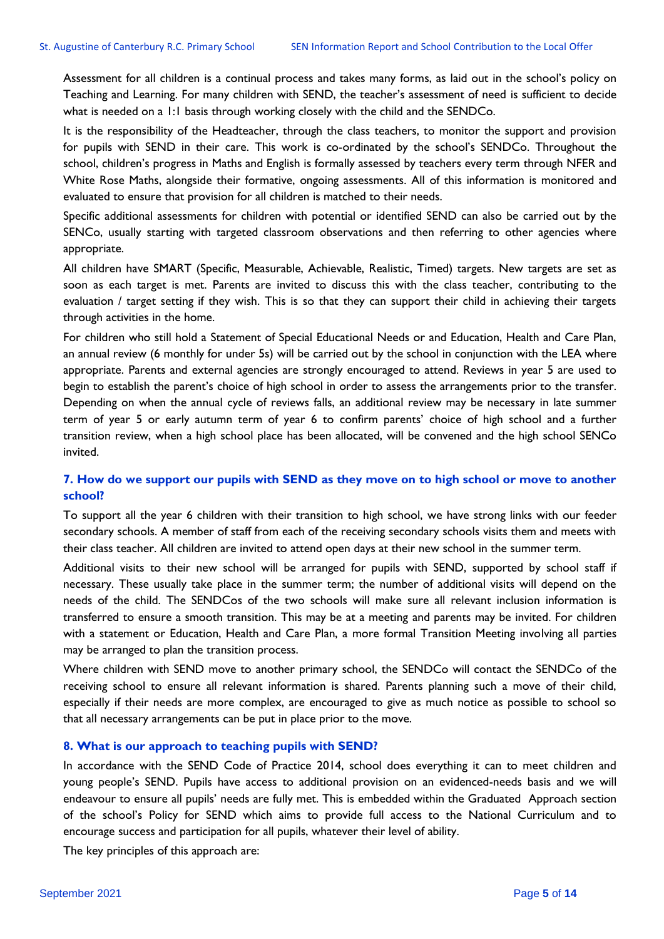Assessment for all children is a continual process and takes many forms, as laid out in the school's policy on Teaching and Learning. For many children with SEND, the teacher's assessment of need is sufficient to decide what is needed on a 1:1 basis through working closely with the child and the SENDCo.

It is the responsibility of the Headteacher, through the class teachers, to monitor the support and provision for pupils with SEND in their care. This work is co-ordinated by the school's SENDCo. Throughout the school, children's progress in Maths and English is formally assessed by teachers every term through NFER and White Rose Maths, alongside their formative, ongoing assessments. All of this information is monitored and evaluated to ensure that provision for all children is matched to their needs.

Specific additional assessments for children with potential or identified SEND can also be carried out by the SENCo, usually starting with targeted classroom observations and then referring to other agencies where appropriate.

All children have SMART (Specific, Measurable, Achievable, Realistic, Timed) targets. New targets are set as soon as each target is met. Parents are invited to discuss this with the class teacher, contributing to the evaluation / target setting if they wish. This is so that they can support their child in achieving their targets through activities in the home.

For children who still hold a Statement of Special Educational Needs or and Education, Health and Care Plan, an annual review (6 monthly for under 5s) will be carried out by the school in conjunction with the LEA where appropriate. Parents and external agencies are strongly encouraged to attend. Reviews in year 5 are used to begin to establish the parent's choice of high school in order to assess the arrangements prior to the transfer. Depending on when the annual cycle of reviews falls, an additional review may be necessary in late summer term of year 5 or early autumn term of year 6 to confirm parents' choice of high school and a further transition review, when a high school place has been allocated, will be convened and the high school SENCo invited.

## **7. How do we support our pupils with SEND as they move on to high school or move to another school?**

To support all the year 6 children with their transition to high school, we have strong links with our feeder secondary schools. A member of staff from each of the receiving secondary schools visits them and meets with their class teacher. All children are invited to attend open days at their new school in the summer term.

Additional visits to their new school will be arranged for pupils with SEND, supported by school staff if necessary. These usually take place in the summer term; the number of additional visits will depend on the needs of the child. The SENDCos of the two schools will make sure all relevant inclusion information is transferred to ensure a smooth transition. This may be at a meeting and parents may be invited. For children with a statement or Education, Health and Care Plan, a more formal Transition Meeting involving all parties may be arranged to plan the transition process.

Where children with SEND move to another primary school, the SENDCo will contact the SENDCo of the receiving school to ensure all relevant information is shared. Parents planning such a move of their child, especially if their needs are more complex, are encouraged to give as much notice as possible to school so that all necessary arrangements can be put in place prior to the move.

#### **8. What is our approach to teaching pupils with SEND?**

In accordance with the SEND Code of Practice 2014, school does everything it can to meet children and young people's SEND. Pupils have access to additional provision on an evidenced-needs basis and we will endeavour to ensure all pupils' needs are fully met. This is embedded within the Graduated Approach section of the school's Policy for SEND which aims to provide full access to the National Curriculum and to encourage success and participation for all pupils, whatever their level of ability.

The key principles of this approach are: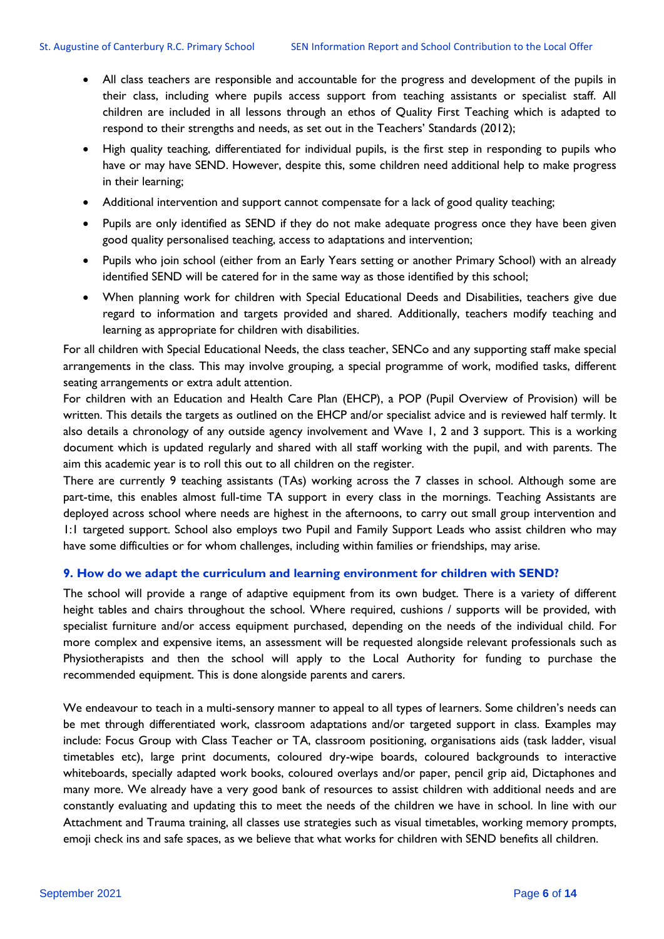- All class teachers are responsible and accountable for the progress and development of the pupils in their class, including where pupils access support from teaching assistants or specialist staff. All children are included in all lessons through an ethos of Quality First Teaching which is adapted to respond to their strengths and needs, as set out in the Teachers' Standards (2012);
- High quality teaching, differentiated for individual pupils, is the first step in responding to pupils who have or may have SEND. However, despite this, some children need additional help to make progress in their learning;
- Additional intervention and support cannot compensate for a lack of good quality teaching;
- Pupils are only identified as SEND if they do not make adequate progress once they have been given good quality personalised teaching, access to adaptations and intervention;
- Pupils who join school (either from an Early Years setting or another Primary School) with an already identified SEND will be catered for in the same way as those identified by this school;
- When planning work for children with Special Educational Deeds and Disabilities, teachers give due regard to information and targets provided and shared. Additionally, teachers modify teaching and learning as appropriate for children with disabilities.

For all children with Special Educational Needs, the class teacher, SENCo and any supporting staff make special arrangements in the class. This may involve grouping, a special programme of work, modified tasks, different seating arrangements or extra adult attention.

For children with an Education and Health Care Plan (EHCP), a POP (Pupil Overview of Provision) will be written. This details the targets as outlined on the EHCP and/or specialist advice and is reviewed half termly. It also details a chronology of any outside agency involvement and Wave 1, 2 and 3 support. This is a working document which is updated regularly and shared with all staff working with the pupil, and with parents. The aim this academic year is to roll this out to all children on the register.

There are currently 9 teaching assistants (TAs) working across the 7 classes in school. Although some are part-time, this enables almost full-time TA support in every class in the mornings. Teaching Assistants are deployed across school where needs are highest in the afternoons, to carry out small group intervention and 1:1 targeted support. School also employs two Pupil and Family Support Leads who assist children who may have some difficulties or for whom challenges, including within families or friendships, may arise.

#### **9. How do we adapt the curriculum and learning environment for children with SEND?**

The school will provide a range of adaptive equipment from its own budget. There is a variety of different height tables and chairs throughout the school. Where required, cushions / supports will be provided, with specialist furniture and/or access equipment purchased, depending on the needs of the individual child. For more complex and expensive items, an assessment will be requested alongside relevant professionals such as Physiotherapists and then the school will apply to the Local Authority for funding to purchase the recommended equipment. This is done alongside parents and carers.

We endeavour to teach in a multi-sensory manner to appeal to all types of learners. Some children's needs can be met through differentiated work, classroom adaptations and/or targeted support in class. Examples may include: Focus Group with Class Teacher or TA, classroom positioning, organisations aids (task ladder, visual timetables etc), large print documents, coloured dry-wipe boards, coloured backgrounds to interactive whiteboards, specially adapted work books, coloured overlays and/or paper, pencil grip aid, Dictaphones and many more. We already have a very good bank of resources to assist children with additional needs and are constantly evaluating and updating this to meet the needs of the children we have in school. In line with our Attachment and Trauma training, all classes use strategies such as visual timetables, working memory prompts, emoji check ins and safe spaces, as we believe that what works for children with SEND benefits all children.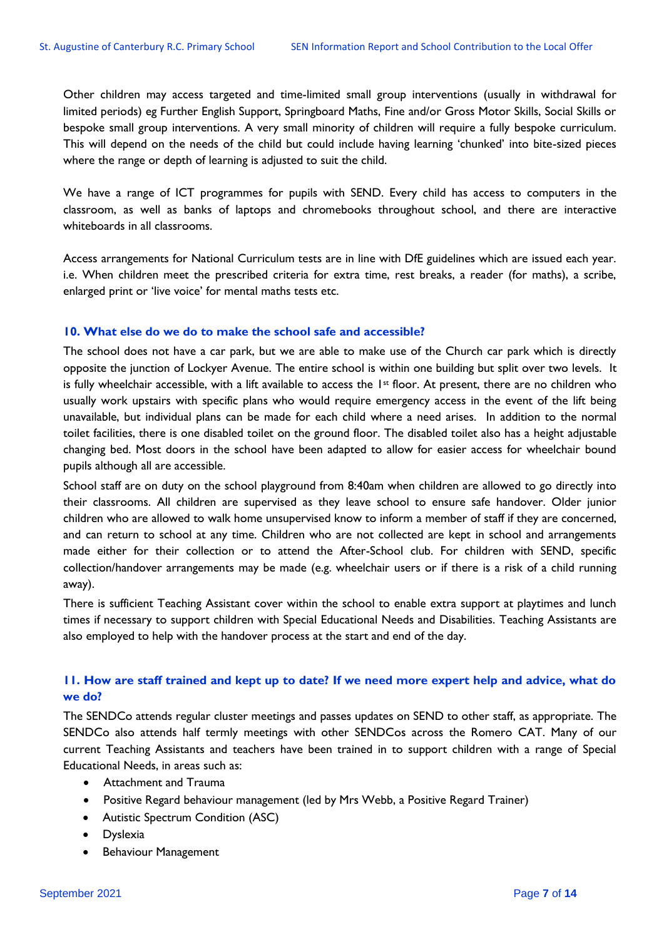Other children may access targeted and time-limited small group interventions (usually in withdrawal for limited periods) eg Further English Support, Springboard Maths, Fine and/or Gross Motor Skills, Social Skills or bespoke small group interventions. A very small minority of children will require a fully bespoke curriculum. This will depend on the needs of the child but could include having learning 'chunked' into bite-sized pieces where the range or depth of learning is adjusted to suit the child.

We have a range of ICT programmes for pupils with SEND. Every child has access to computers in the classroom, as well as banks of laptops and chromebooks throughout school, and there are interactive whiteboards in all classrooms.

Access arrangements for National Curriculum tests are in line with DfE guidelines which are issued each year. i.e. When children meet the prescribed criteria for extra time, rest breaks, a reader (for maths), a scribe, enlarged print or 'live voice' for mental maths tests etc.

#### **10. What else do we do to make the school safe and accessible?**

The school does not have a car park, but we are able to make use of the Church car park which is directly opposite the junction of Lockyer Avenue. The entire school is within one building but split over two levels. It is fully wheelchair accessible, with a lift available to access the  $1st$  floor. At present, there are no children who usually work upstairs with specific plans who would require emergency access in the event of the lift being unavailable, but individual plans can be made for each child where a need arises. In addition to the normal toilet facilities, there is one disabled toilet on the ground floor. The disabled toilet also has a height adjustable changing bed. Most doors in the school have been adapted to allow for easier access for wheelchair bound pupils although all are accessible.

School staff are on duty on the school playground from 8:40am when children are allowed to go directly into their classrooms. All children are supervised as they leave school to ensure safe handover. Older junior children who are allowed to walk home unsupervised know to inform a member of staff if they are concerned, and can return to school at any time. Children who are not collected are kept in school and arrangements made either for their collection or to attend the After-School club. For children with SEND, specific collection/handover arrangements may be made (e.g. wheelchair users or if there is a risk of a child running away).

There is sufficient Teaching Assistant cover within the school to enable extra support at playtimes and lunch times if necessary to support children with Special Educational Needs and Disabilities. Teaching Assistants are also employed to help with the handover process at the start and end of the day.

## **11. How are staff trained and kept up to date? If we need more expert help and advice, what do we do?**

The SENDCo attends regular cluster meetings and passes updates on SEND to other staff, as appropriate. The SENDCo also attends half termly meetings with other SENDCos across the Romero CAT. Many of our current Teaching Assistants and teachers have been trained in to support children with a range of Special Educational Needs, in areas such as:

- Attachment and Trauma
- Positive Regard behaviour management (led by Mrs Webb, a Positive Regard Trainer)
- Autistic Spectrum Condition (ASC)
- Dyslexia
- Behaviour Management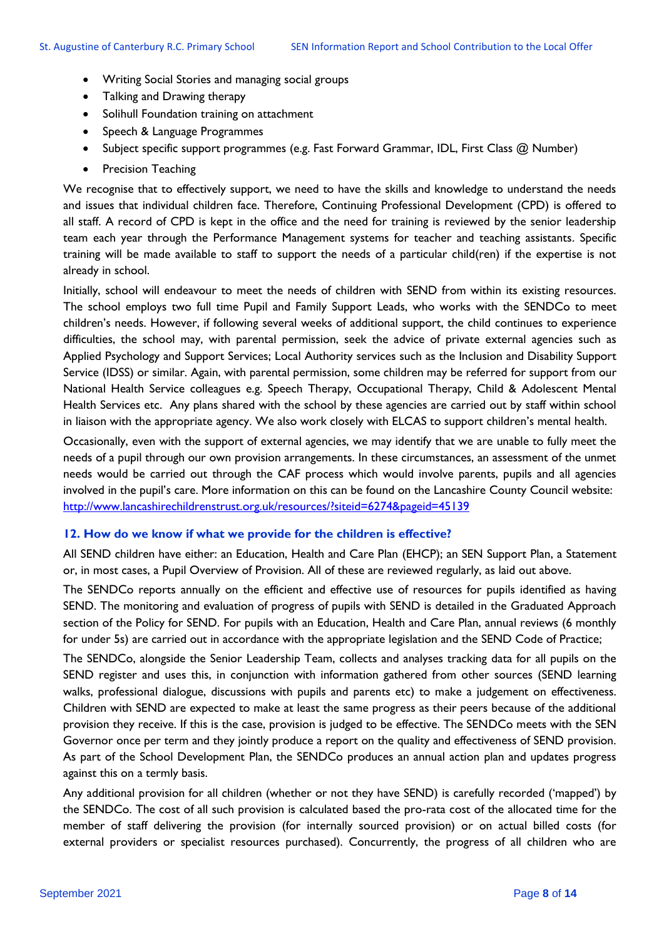- Writing Social Stories and managing social groups
- Talking and Drawing therapy
- Solihull Foundation training on attachment
- Speech & Language Programmes
- Subject specific support programmes (e.g. Fast Forward Grammar, IDL, First Class @ Number)
- Precision Teaching

We recognise that to effectively support, we need to have the skills and knowledge to understand the needs and issues that individual children face. Therefore, Continuing Professional Development (CPD) is offered to all staff. A record of CPD is kept in the office and the need for training is reviewed by the senior leadership team each year through the Performance Management systems for teacher and teaching assistants. Specific training will be made available to staff to support the needs of a particular child(ren) if the expertise is not already in school.

Initially, school will endeavour to meet the needs of children with SEND from within its existing resources. The school employs two full time Pupil and Family Support Leads, who works with the SENDCo to meet children's needs. However, if following several weeks of additional support, the child continues to experience difficulties, the school may, with parental permission, seek the advice of private external agencies such as Applied Psychology and Support Services; Local Authority services such as the Inclusion and Disability Support Service (IDSS) or similar. Again, with parental permission, some children may be referred for support from our National Health Service colleagues e.g. Speech Therapy, Occupational Therapy, Child & Adolescent Mental Health Services etc. Any plans shared with the school by these agencies are carried out by staff within school in liaison with the appropriate agency. We also work closely with ELCAS to support children's mental health.

Occasionally, even with the support of external agencies, we may identify that we are unable to fully meet the needs of a pupil through our own provision arrangements. In these circumstances, an assessment of the unmet needs would be carried out through the CAF process which would involve parents, pupils and all agencies involved in the pupil's care. More information on this can be found on the Lancashire County Council website: <http://www.lancashirechildrenstrust.org.uk/resources/?siteid=6274&pageid=45139>

#### **12. How do we know if what we provide for the children is effective?**

All SEND children have either: an Education, Health and Care Plan (EHCP); an SEN Support Plan, a Statement or, in most cases, a Pupil Overview of Provision. All of these are reviewed regularly, as laid out above.

The SENDCo reports annually on the efficient and effective use of resources for pupils identified as having SEND. The monitoring and evaluation of progress of pupils with SEND is detailed in the Graduated Approach section of the Policy for SEND. For pupils with an Education, Health and Care Plan, annual reviews (6 monthly for under 5s) are carried out in accordance with the appropriate legislation and the SEND Code of Practice;

The SENDCo, alongside the Senior Leadership Team, collects and analyses tracking data for all pupils on the SEND register and uses this, in conjunction with information gathered from other sources (SEND learning walks, professional dialogue, discussions with pupils and parents etc) to make a judgement on effectiveness. Children with SEND are expected to make at least the same progress as their peers because of the additional provision they receive. If this is the case, provision is judged to be effective. The SENDCo meets with the SEN Governor once per term and they jointly produce a report on the quality and effectiveness of SEND provision. As part of the School Development Plan, the SENDCo produces an annual action plan and updates progress against this on a termly basis.

Any additional provision for all children (whether or not they have SEND) is carefully recorded ('mapped') by the SENDCo. The cost of all such provision is calculated based the pro-rata cost of the allocated time for the member of staff delivering the provision (for internally sourced provision) or on actual billed costs (for external providers or specialist resources purchased). Concurrently, the progress of all children who are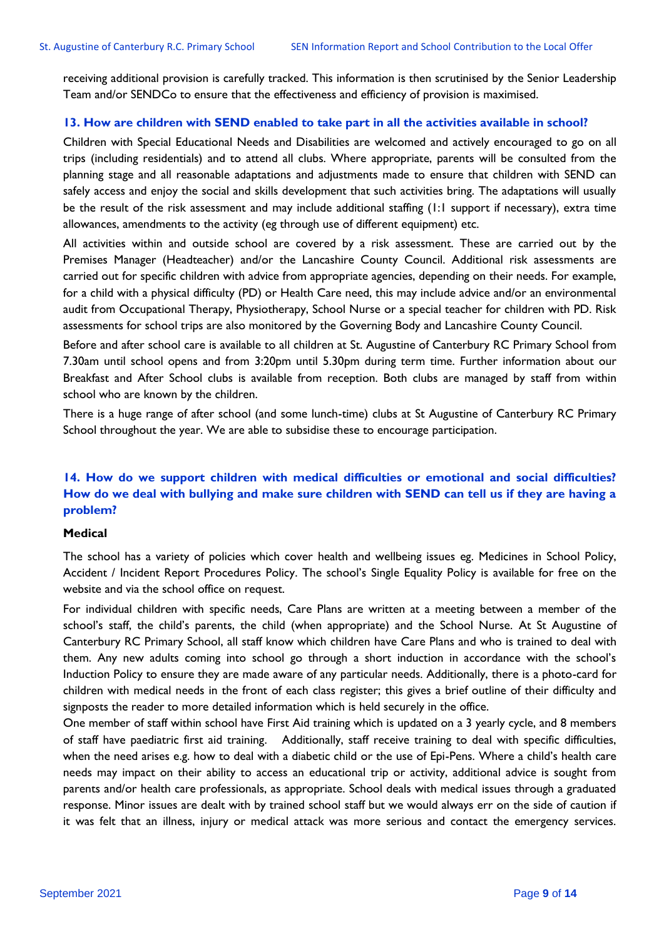receiving additional provision is carefully tracked. This information is then scrutinised by the Senior Leadership Team and/or SENDCo to ensure that the effectiveness and efficiency of provision is maximised.

#### **13. How are children with SEND enabled to take part in all the activities available in school?**

Children with Special Educational Needs and Disabilities are welcomed and actively encouraged to go on all trips (including residentials) and to attend all clubs. Where appropriate, parents will be consulted from the planning stage and all reasonable adaptations and adjustments made to ensure that children with SEND can safely access and enjoy the social and skills development that such activities bring. The adaptations will usually be the result of the risk assessment and may include additional staffing (1:1 support if necessary), extra time allowances, amendments to the activity (eg through use of different equipment) etc.

All activities within and outside school are covered by a risk assessment. These are carried out by the Premises Manager (Headteacher) and/or the Lancashire County Council. Additional risk assessments are carried out for specific children with advice from appropriate agencies, depending on their needs. For example, for a child with a physical difficulty (PD) or Health Care need, this may include advice and/or an environmental audit from Occupational Therapy, Physiotherapy, School Nurse or a special teacher for children with PD. Risk assessments for school trips are also monitored by the Governing Body and Lancashire County Council.

Before and after school care is available to all children at St. Augustine of Canterbury RC Primary School from 7.30am until school opens and from 3:20pm until 5.30pm during term time. Further information about our Breakfast and After School clubs is available from reception. Both clubs are managed by staff from within school who are known by the children.

There is a huge range of after school (and some lunch-time) clubs at St Augustine of Canterbury RC Primary School throughout the year. We are able to subsidise these to encourage participation.

## **14. How do we support children with medical difficulties or emotional and social difficulties? How do we deal with bullying and make sure children with SEND can tell us if they are having a problem?**

#### **Medical**

The school has a variety of policies which cover health and wellbeing issues eg. Medicines in School Policy, Accident / Incident Report Procedures Policy. The school's Single Equality Policy is available for free on the website and via the school office on request.

For individual children with specific needs, Care Plans are written at a meeting between a member of the school's staff, the child's parents, the child (when appropriate) and the School Nurse. At St Augustine of Canterbury RC Primary School, all staff know which children have Care Plans and who is trained to deal with them. Any new adults coming into school go through a short induction in accordance with the school's Induction Policy to ensure they are made aware of any particular needs. Additionally, there is a photo-card for children with medical needs in the front of each class register; this gives a brief outline of their difficulty and signposts the reader to more detailed information which is held securely in the office.

One member of staff within school have First Aid training which is updated on a 3 yearly cycle, and 8 members of staff have paediatric first aid training. Additionally, staff receive training to deal with specific difficulties, when the need arises e.g. how to deal with a diabetic child or the use of Epi-Pens. Where a child's health care needs may impact on their ability to access an educational trip or activity, additional advice is sought from parents and/or health care professionals, as appropriate. School deals with medical issues through a graduated response. Minor issues are dealt with by trained school staff but we would always err on the side of caution if it was felt that an illness, injury or medical attack was more serious and contact the emergency services.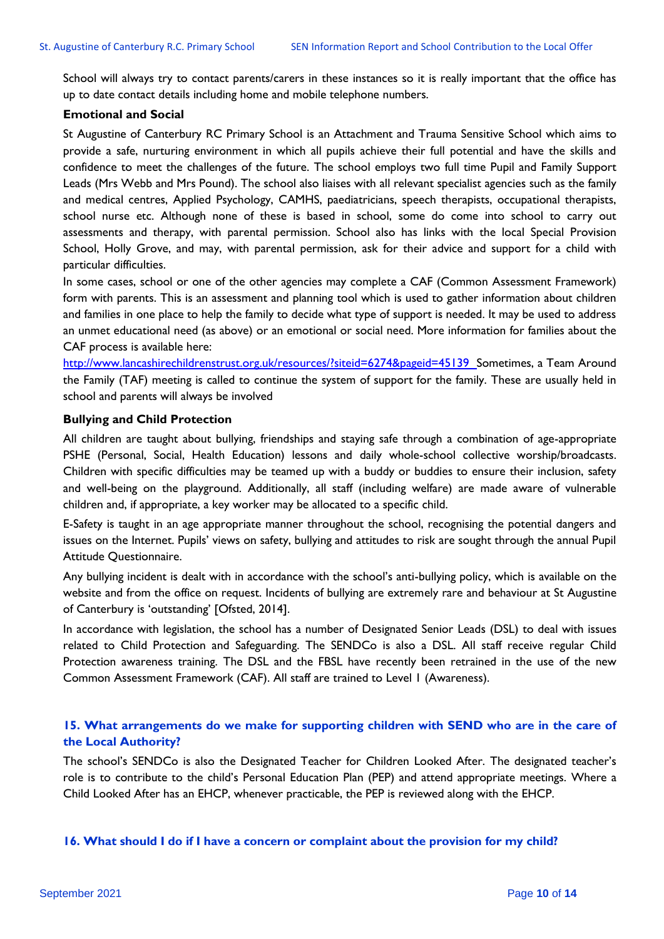School will always try to contact parents/carers in these instances so it is really important that the office has up to date contact details including home and mobile telephone numbers.

#### **Emotional and Social**

St Augustine of Canterbury RC Primary School is an Attachment and Trauma Sensitive School which aims to provide a safe, nurturing environment in which all pupils achieve their full potential and have the skills and confidence to meet the challenges of the future. The school employs two full time Pupil and Family Support Leads (Mrs Webb and Mrs Pound). The school also liaises with all relevant specialist agencies such as the family and medical centres, Applied Psychology, CAMHS, paediatricians, speech therapists, occupational therapists, school nurse etc. Although none of these is based in school, some do come into school to carry out assessments and therapy, with parental permission. School also has links with the local Special Provision School, Holly Grove, and may, with parental permission, ask for their advice and support for a child with particular difficulties.

In some cases, school or one of the other agencies may complete a CAF (Common Assessment Framework) form with parents. This is an assessment and planning tool which is used to gather information about children and families in one place to help the family to decide what type of support is needed. It may be used to address an unmet educational need (as above) or an emotional or social need. More information for families about the CAF process is available here:

[http://www.lancashirechildrenstrust.org.uk/resources/?siteid=6274&pageid=45139 S](http://www.lancashirechildrenstrust.org.uk/resources/?siteid=6274&pageid=45139%20%20)ometimes, a Team Around the Family (TAF) meeting is called to continue the system of support for the family. These are usually held in school and parents will always be involved

#### **Bullying and Child Protection**

All children are taught about bullying, friendships and staying safe through a combination of age-appropriate PSHE (Personal, Social, Health Education) lessons and daily whole-school collective worship/broadcasts. Children with specific difficulties may be teamed up with a buddy or buddies to ensure their inclusion, safety and well-being on the playground. Additionally, all staff (including welfare) are made aware of vulnerable children and, if appropriate, a key worker may be allocated to a specific child.

E-Safety is taught in an age appropriate manner throughout the school, recognising the potential dangers and issues on the Internet. Pupils' views on safety, bullying and attitudes to risk are sought through the annual Pupil Attitude Questionnaire.

Any bullying incident is dealt with in accordance with the school's anti-bullying policy, which is available on the website and from the office on request. Incidents of bullying are extremely rare and behaviour at St Augustine of Canterbury is 'outstanding' [Ofsted, 2014].

In accordance with legislation, the school has a number of Designated Senior Leads (DSL) to deal with issues related to Child Protection and Safeguarding. The SENDCo is also a DSL. All staff receive regular Child Protection awareness training. The DSL and the FBSL have recently been retrained in the use of the new Common Assessment Framework (CAF). All staff are trained to Level 1 (Awareness).

## **15. What arrangements do we make for supporting children with SEND who are in the care of the Local Authority?**

The school's SENDCo is also the Designated Teacher for Children Looked After. The designated teacher's role is to contribute to the child's Personal Education Plan (PEP) and attend appropriate meetings. Where a Child Looked After has an EHCP, whenever practicable, the PEP is reviewed along with the EHCP.

#### **16. What should I do if I have a concern or complaint about the provision for my child?**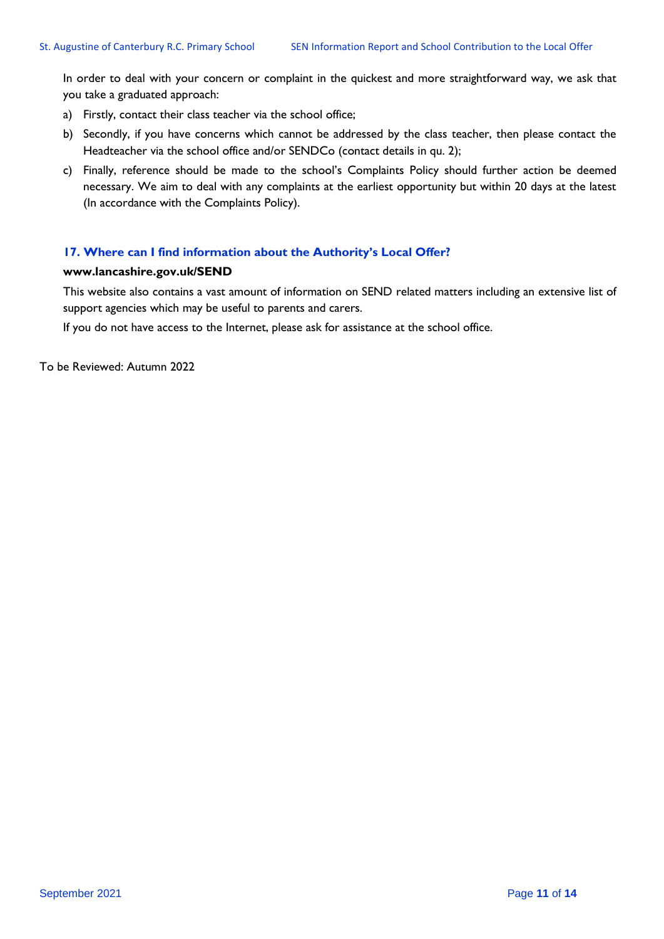In order to deal with your concern or complaint in the quickest and more straightforward way, we ask that you take a graduated approach:

- a) Firstly, contact their class teacher via the school office;
- b) Secondly, if you have concerns which cannot be addressed by the class teacher, then please contact the Headteacher via the school office and/or SENDCo (contact details in qu. 2);
- c) Finally, reference should be made to the school's Complaints Policy should further action be deemed necessary. We aim to deal with any complaints at the earliest opportunity but within 20 days at the latest (In accordance with the Complaints Policy).

#### **17. Where can I find information about the Authority's Local Offer?**

#### **[www.lancashire.gov.uk/SEND](http://www.lancashire.gov.uk/SEND)**

This website also contains a vast amount of information on SEND related matters including an extensive list of support agencies which may be useful to parents and carers.

If you do not have access to the Internet, please ask for assistance at the school office.

To be Reviewed: Autumn 2022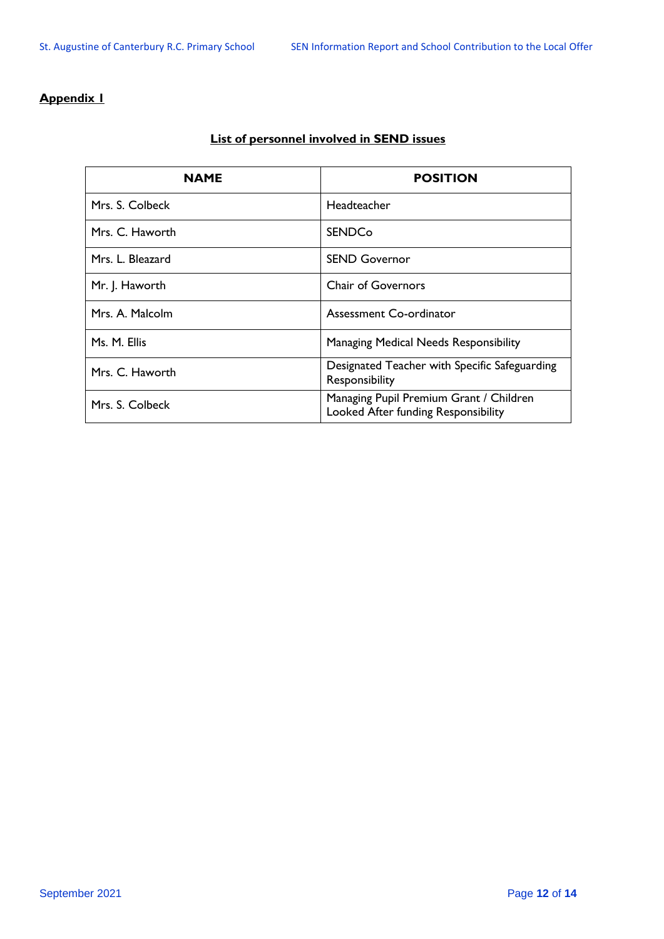## **Appendix 1**

| <b>NAME</b>      | <b>POSITION</b>                                                                |
|------------------|--------------------------------------------------------------------------------|
| Mrs. S. Colbeck  | Headteacher                                                                    |
| Mrs. C. Haworth  | <b>SENDCo</b>                                                                  |
| Mrs. L. Bleazard | <b>SEND Governor</b>                                                           |
| Mr. J. Haworth   | <b>Chair of Governors</b>                                                      |
| Mrs. A. Malcolm  | Assessment Co-ordinator                                                        |
| Ms. M. Ellis     | Managing Medical Needs Responsibility                                          |
| Mrs. C. Haworth  | Designated Teacher with Specific Safeguarding<br>Responsibility                |
| Mrs. S. Colbeck  | Managing Pupil Premium Grant / Children<br>Looked After funding Responsibility |

## **List of personnel involved in SEND issues**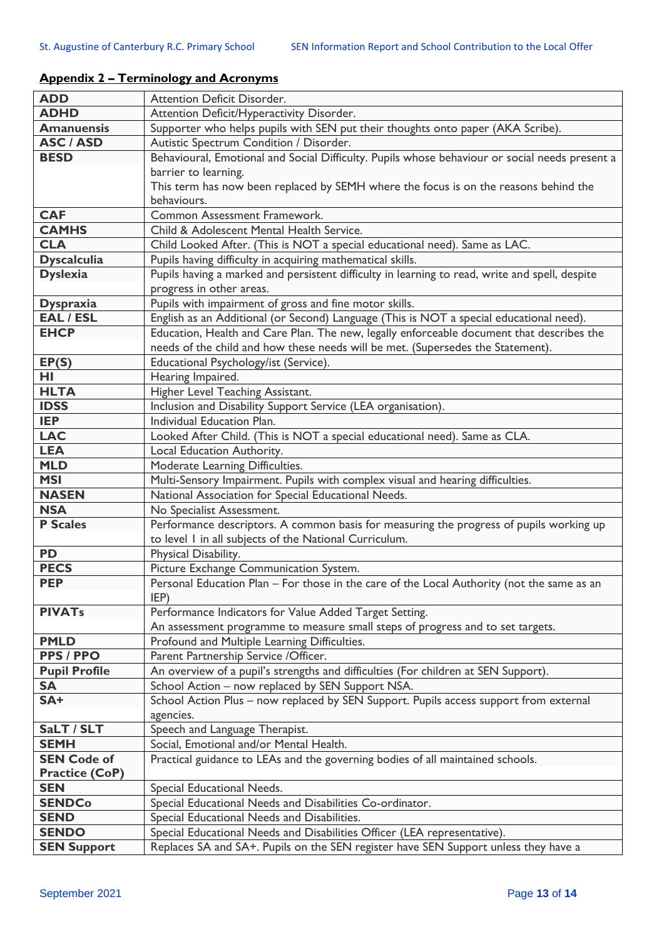| <b>ADD</b>            | Attention Deficit Disorder.                                                                    |
|-----------------------|------------------------------------------------------------------------------------------------|
| <b>ADHD</b>           | Attention Deficit/Hyperactivity Disorder.                                                      |
| <b>Amanuensis</b>     | Supporter who helps pupils with SEN put their thoughts onto paper (AKA Scribe).                |
| <b>ASC / ASD</b>      | Autistic Spectrum Condition / Disorder.                                                        |
| <b>BESD</b>           | Behavioural, Emotional and Social Difficulty. Pupils whose behaviour or social needs present a |
|                       | barrier to learning.                                                                           |
|                       | This term has now been replaced by SEMH where the focus is on the reasons behind the           |
|                       | behaviours.                                                                                    |
| <b>CAF</b>            | Common Assessment Framework.                                                                   |
| <b>CAMHS</b>          | Child & Adolescent Mental Health Service.                                                      |
| <b>CLA</b>            | Child Looked After. (This is NOT a special educational need). Same as LAC.                     |
| <b>Dyscalculia</b>    | Pupils having difficulty in acquiring mathematical skills.                                     |
| <b>Dyslexia</b>       | Pupils having a marked and persistent difficulty in learning to read, write and spell, despite |
|                       | progress in other areas.                                                                       |
| <b>Dyspraxia</b>      | Pupils with impairment of gross and fine motor skills.                                         |
| <b>EAL / ESL</b>      | English as an Additional (or Second) Language (This is NOT a special educational need).        |
| <b>EHCP</b>           | Education, Health and Care Plan. The new, legally enforceable document that describes the      |
|                       | needs of the child and how these needs will be met. (Supersedes the Statement).                |
| EP(S)                 | Educational Psychology/ist (Service).                                                          |
| HL                    | Hearing Impaired.                                                                              |
| <b>HLTA</b>           | Higher Level Teaching Assistant.                                                               |
| <b>IDSS</b>           | Inclusion and Disability Support Service (LEA organisation).                                   |
| <b>IEP</b>            | Individual Education Plan.                                                                     |
| <b>LAC</b>            | Looked After Child. (This is NOT a special educational need). Same as CLA.                     |
| <b>LEA</b>            | Local Education Authority.                                                                     |
| <b>MLD</b>            | Moderate Learning Difficulties.                                                                |
| <b>MSI</b>            | Multi-Sensory Impairment. Pupils with complex visual and hearing difficulties.                 |
| <b>NASEN</b>          | National Association for Special Educational Needs.                                            |
| <b>NSA</b>            | No Specialist Assessment.                                                                      |
| <b>P Scales</b>       | Performance descriptors. A common basis for measuring the progress of pupils working up        |
|                       | to level I in all subjects of the National Curriculum.                                         |
| <b>PD</b>             | Physical Disability.                                                                           |
| <b>PECS</b>           | Picture Exchange Communication System.                                                         |
| <b>PEP</b>            | Personal Education Plan - For those in the care of the Local Authority (not the same as an     |
|                       | IEP)                                                                                           |
| <b>PIVATs</b>         | Performance Indicators for Value Added Target Setting.                                         |
|                       | An assessment programme to measure small steps of progress and to set targets.                 |
| <b>PMLD</b>           | Profound and Multiple Learning Difficulties.                                                   |
| <b>PPS / PPO</b>      | Parent Partnership Service / Officer.                                                          |
| <b>Pupil Profile</b>  | An overview of a pupil's strengths and difficulties (For children at SEN Support).             |
| <b>SA</b>             | School Action - now replaced by SEN Support NSA.                                               |
| SA+                   | School Action Plus - now replaced by SEN Support. Pupils access support from external          |
|                       | agencies.                                                                                      |
| SaLT / SLT            | Speech and Language Therapist.                                                                 |
| <b>SEMH</b>           | Social, Emotional and/or Mental Health.                                                        |
| <b>SEN Code of</b>    | Practical guidance to LEAs and the governing bodies of all maintained schools.                 |
| <b>Practice (CoP)</b> |                                                                                                |
| <b>SEN</b>            | Special Educational Needs.                                                                     |
| <b>SENDCo</b>         | Special Educational Needs and Disabilities Co-ordinator.                                       |
| <b>SEND</b>           | Special Educational Needs and Disabilities.                                                    |
| <b>SENDO</b>          | Special Educational Needs and Disabilities Officer (LEA representative).                       |
| <b>SEN Support</b>    | Replaces SA and SA+. Pupils on the SEN register have SEN Support unless they have a            |

## **Appendix 2 – Terminology and Acronyms**